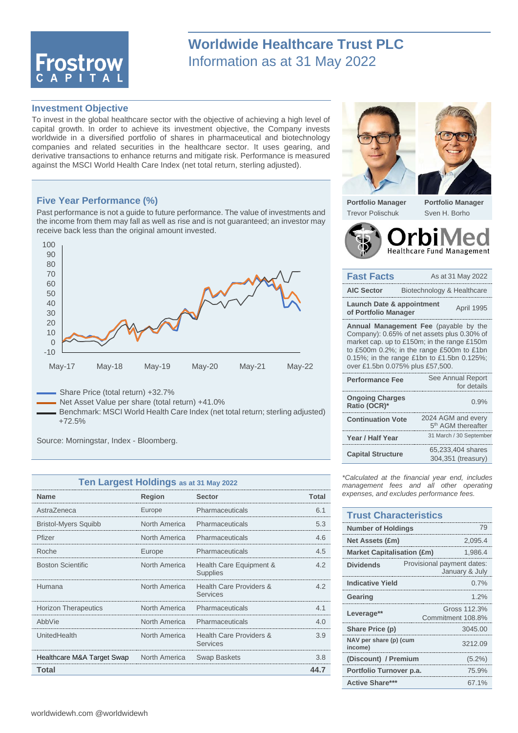

# **Worldwide Healthcare Trust PLC** Information as at 31 May 2022

### **Investment Objective**

To invest in the global healthcare sector with the objective of achieving a high level of capital growth. In order to achieve its investment objective, the Company invests worldwide in a diversified portfolio of shares in pharmaceutical and biotechnology companies and related securities in the healthcare sector. It uses gearing, and derivative transactions to enhance returns and mitigate risk. Performance is measured against the MSCI World Health Care Index (net total return, sterling adjusted).

#### **Five Year Performance (%)**

Past performance is not a guide to future performance. The value of investments and the income from them may fall as well as rise and is not guaranteed; an investor may receive back less than the original amount invested.



- Net Asset Value per share (total return) +41.0%

Benchmark: MSCI World Health Care Index (net total return; sterling adjusted) +72.5%

Source: Morningstar, Index - Bloomberg.

| Ten Largest Holdings as at 31 May 2022 |               |                                            |       |  |
|----------------------------------------|---------------|--------------------------------------------|-------|--|
| <b>Name</b>                            | <b>Region</b> | <b>Sector</b>                              | Total |  |
| AstraZeneca                            | Europe        | Pharmaceuticals                            | 6.1   |  |
| <b>Bristol-Myers Squibb</b>            | North America | Pharmaceuticals                            | 5.3   |  |
| Pfizer                                 | North America | Pharmaceuticals                            | 4.6   |  |
| Roche                                  | Europe        | Pharmaceuticals                            | 4.5   |  |
| <b>Boston Scientific</b>               | North America | Health Care Equipment &<br><b>Supplies</b> | 4.2   |  |
| Humana                                 | North America | Health Care Providers &<br><b>Services</b> | 4.2   |  |
| <b>Horizon Therapeutics</b>            | North America | Pharmaceuticals                            | 4.1   |  |
| AbbVie                                 | North America | Pharmaceuticals                            | 4.0   |  |
| UnitedHealth                           | North America | Health Care Providers &<br><b>Services</b> | 3.9   |  |
| Healthcare M&A Target Swap             | North America | <b>Swap Baskets</b>                        | 3.8   |  |
| <b>Total</b>                           |               |                                            | 44.7  |  |



**Portfolio Manager** Trevor Polischuk

**Portfolio Manager** Sven H. Borho



| <b>Fast Facts</b>                                 | As at 31 May 2022                                                                                                                                                                                                                         |
|---------------------------------------------------|-------------------------------------------------------------------------------------------------------------------------------------------------------------------------------------------------------------------------------------------|
| <b>AIC Sector</b>                                 | Biotechnology & Healthcare                                                                                                                                                                                                                |
| Launch Date & appointment<br>of Portfolio Manager | April 1995                                                                                                                                                                                                                                |
| over £1.5bn 0.075% plus £57,500.                  | <b>Annual Management Fee</b> (payable by the<br>Company): 0.65% of net assets plus 0.30% of<br>market cap. up to £150m; in the range £150m<br>to £500m 0.2%; in the range £500m to £1bn<br>0.15%; in the range £1bn to £1.5bn $0.125\%$ ; |
| <b>Performance Fee</b>                            | See Annual Report<br>for details                                                                                                                                                                                                          |
| <b>Ongoing Charges</b><br>Ratio (OCR)*            | 0.9%                                                                                                                                                                                                                                      |
| <b>Continuation Vote</b>                          | 2024 AGM and every<br>5 <sup>th</sup> AGM thereafter                                                                                                                                                                                      |
| Year / Half Year                                  | 31 March / 30 September                                                                                                                                                                                                                   |
| <b>Capital Structure</b>                          | 65,233,404 shares<br>304,351 (treasury)                                                                                                                                                                                                   |

*\*Calculated at the financial year end, includes management fees and all other operating expenses, and excludes performance fees.*

| <b>Trust Characteristics</b>      |  |                                              |  |  |
|-----------------------------------|--|----------------------------------------------|--|--|
| 79<br><b>Number of Holdings</b>   |  |                                              |  |  |
| <b>Net Assets (£m)</b>            |  | 2,095.4                                      |  |  |
| <b>Market Capitalisation (£m)</b> |  | 1,986.4                                      |  |  |
| <b>Dividends</b>                  |  | Provisional payment dates:<br>January & July |  |  |
| <b>Indicative Yield</b>           |  | 0.7%                                         |  |  |
| Gearing                           |  | 1.2%                                         |  |  |
| Leverage**                        |  | Gross 112.3%<br>Commitment 108.8%            |  |  |
| Share Price (p)                   |  | 3045.00                                      |  |  |
| NAV per share (p) (cum<br>income) |  | 3212.09                                      |  |  |
| (Discount) / Premium              |  | $(5.2\%)$                                    |  |  |
| Portfolio Turnover p.a.           |  | 75.9%                                        |  |  |
| <b>Active Share***</b>            |  | 67.1%                                        |  |  |
|                                   |  |                                              |  |  |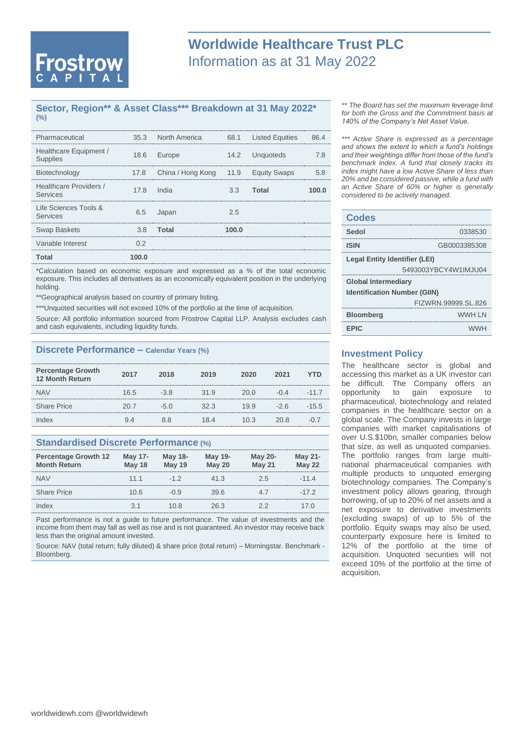# **Frostrow**

# **Worldwide Healthcare Trust PLC** Information as at 31 May 2022

### **Sector, Region\*\* & Asset Class\*\*\* Breakdown at 31 May 2022\* (%)**

| Pharmaceutical                     | 35.3 North America                       |       | 68.1 Listed Equities |     |
|------------------------------------|------------------------------------------|-------|----------------------|-----|
| Healthcare Equipment /<br>Supplies | 18.6 Europe                              |       | 14.2 Unquoteds       | 7.8 |
| Biotechnology                      | 17.8 China / Hong Kong 11.9 Equity Swaps |       |                      | 58  |
| Healthcare Providers /<br>Services | 17.8 India                               |       | 3.3 Total            |     |
| Life Sciences Tools &<br>Services  | 6.5 Japan                                | 2.5   |                      |     |
| <b>Swap Baskets</b>                | 3.8 Total                                | 100.0 |                      |     |
| Variable Interest                  |                                          |       |                      |     |
| Total                              |                                          |       |                      |     |

\*Calculation based on economic exposure and expressed as a % of the total economic exposure. This includes all derivatives as an economically equivalent position in the underlying holding.

\*\*Geographical analysis based on country of primary listing.

\*\*\*Unquoted securities will not exceed 10% of the portfolio at the time of acquisition.

Source: All portfolio information sourced from Frostrow Capital LLP. Analysis excludes cash and cash equivalents, including liquidity funds.

### **Discrete Performance – Calendar Years (%)**

| <b>Percentage Growth</b><br><b>12 Month Return</b> | 2017 | 2018   | 2019 | 2020 | 2021   | YTD     |
|----------------------------------------------------|------|--------|------|------|--------|---------|
| <b>NAV</b>                                         | 16.5 | $-3.8$ | 31.9 | 20 O | $-0.4$ | $-11.7$ |
| <b>Share Price</b>                                 | 20.7 | $-5.0$ | 32 3 | 19.9 | $-26$  | $-15.5$ |
| Index                                              |      | 88     | 184  | 10.3 | 20 R   |         |

### **Standardised Discrete Performance (%)**

| <b>Percentage Growth 12</b><br><b>Month Return</b> | May 17-<br><b>May 18</b> | May 18-<br><b>May 19</b> | May 19-<br><b>May 20</b> | <b>May 20-</b><br><b>May 21</b> | <b>May 21-</b><br><b>May 22</b> |
|----------------------------------------------------|--------------------------|--------------------------|--------------------------|---------------------------------|---------------------------------|
| <b>NAV</b>                                         | 11 1                     | $-12$                    | 41.3                     | ント                              | $-114$                          |
| <b>Share Price</b>                                 | 1በ 6                     | $-0.9$                   | 39 R                     |                                 | $-172$                          |
| Index                                              |                          | 10 X                     | 26 3                     | ソツ                              |                                 |

Past performance is not a guide to future performance. The value of investments and the income from them may fall as well as rise and is not guaranteed. An investor may receive back less than the original amount invested.

Source: NAV (total return; fully diluted) & share price (total return) – Morningstar. Benchmark - Bloomberg.

*\*\* The Board has set the maximum leverage limit for both the Gross and the Commitment basis at 140% of the Company's Net Asset Value.*

*\*\*\* Active Share is expressed as a percentage and shows the extent to which a fund's holdings and their weightings differ from those of the fund's benchmark index. A fund that closely tracks its index might have a low Active Share of less than 20% and be considered passive, while a fund with an Active Share of 60% or higher is generally considered to be actively managed.*

| Codes                               |                      |  |  |  |
|-------------------------------------|----------------------|--|--|--|
| Sedol                               | 0338530              |  |  |  |
| <b>ISIN</b>                         | GB0003385308         |  |  |  |
| Legal Entity Identifier (LEI)       |                      |  |  |  |
|                                     | 5493003YBCY4W1IMJU04 |  |  |  |
| <b>Global Intermediary</b>          |                      |  |  |  |
| <b>Identification Number (GIIN)</b> |                      |  |  |  |
|                                     | FIZWRN.99999.SL.826  |  |  |  |
| <b>Bloomberg</b>                    | <b>WWH IN</b>        |  |  |  |
| <b>FPIC</b>                         | <b>WWH</b>           |  |  |  |

#### **Investment Policy**

The healthcare sector is global and accessing this market as a UK investor can be difficult. The Company offers an opportunity to gain exposure to pharmaceutical, biotechnology and related companies in the healthcare sector on a global scale. The Company invests in large companies with market capitalisations of over U.S.\$10bn, smaller companies below that size, as well as unquoted companies. The portfolio ranges from large multinational pharmaceutical companies with multiple products to unquoted emerging biotechnology companies. The Company's investment policy allows gearing, through borrowing, of up to 20% of net assets and a net exposure to derivative investments (excluding swaps) of up to 5% of the portfolio. Equity swaps may also be used, counterparty exposure here is limited to 12% of the portfolio at the time of acquisition. Unquoted securities will not exceed 10% of the portfolio at the time of acquisition.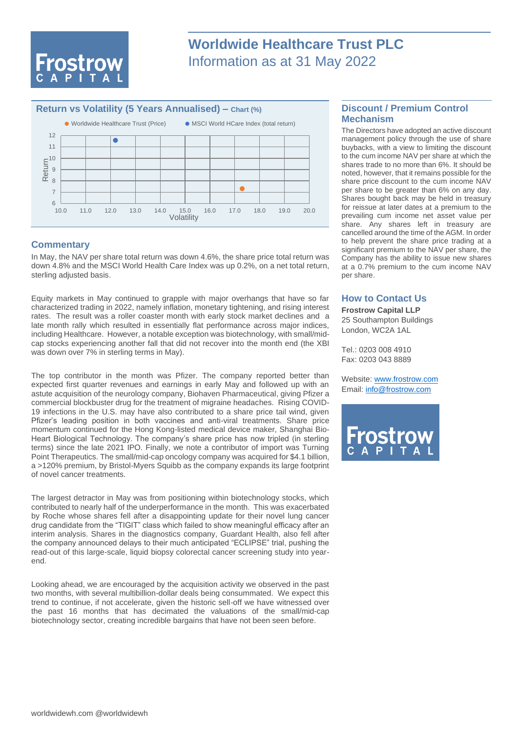

# **Worldwide Healthcare Trust PLC** Information as at 31 May 2022

### **Return vs Volatility (5 Years Annualised) – Chart (%)**



### **Commentary**

In May, the NAV per share total return was down 4.6%, the share price total return was down 4.8% and the MSCI World Health Care Index was up 0.2%, on a net total return, sterling adjusted basis.

Equity markets in May continued to grapple with major overhangs that have so far characterized trading in 2022, namely inflation, monetary tightening, and rising interest rates. The result was a roller coaster month with early stock market declines and a late month rally which resulted in essentially flat performance across major indices, including Healthcare. However, a notable exception was biotechnology, with small/midcap stocks experiencing another fall that did not recover into the month end (the XBI was down over 7% in sterling terms in May).

The top contributor in the month was Pfizer. The company reported better than expected first quarter revenues and earnings in early May and followed up with an astute acquisition of the neurology company, Biohaven Pharmaceutical, giving Pfizer a commercial blockbuster drug for the treatment of migraine headaches. Rising COVID-19 infections in the U.S. may have also contributed to a share price tail wind, given Pfizer's leading position in both vaccines and anti-viral treatments. Share price momentum continued for the Hong Kong-listed medical device maker, Shanghai Bio-Heart Biological Technology. The company's share price has now tripled (in sterling terms) since the late 2021 IPO. Finally, we note a contributor of import was Turning Point Therapeutics. The small/mid-cap oncology company was acquired for \$4.1 billion, a >120% premium, by Bristol-Myers Squibb as the company expands its large footprint of novel cancer treatments.

The largest detractor in May was from positioning within biotechnology stocks, which contributed to nearly half of the underperformance in the month. This was exacerbated by Roche whose shares fell after a disappointing update for their novel lung cancer drug candidate from the "TIGIT" class which failed to show meaningful efficacy after an interim analysis. Shares in the diagnostics company, Guardant Health, also fell after the company announced delays to their much anticipated "ECLIPSE" trial, pushing the read-out of this large-scale, liquid biopsy colorectal cancer screening study into yearend.

Looking ahead, we are encouraged by the acquisition activity we observed in the past two months, with several multibillion-dollar deals being consummated. We expect this trend to continue, if not accelerate, given the historic sell-off we have witnessed over the past 16 months that has decimated the valuations of the small/mid-cap biotechnology sector, creating incredible bargains that have not been seen before.

# **Discount / Premium Control Mechanism**

The Directors have adopted an active discount management policy through the use of share buybacks, with a view to limiting the discount to the cum income NAV per share at which the shares trade to no more than 6%. It should be noted, however, that it remains possible for the share price discount to the cum income NAV per share to be greater than 6% on any day. Shares bought back may be held in treasury for reissue at later dates at a premium to the prevailing cum income net asset value per share. Any shares left in treasury are cancelled around the time of the AGM. In order to help prevent the share price trading at a significant premium to the NAV per share, the Company has the ability to issue new shares at a 0.7% premium to the cum income NAV per share.

### **How to Contact Us**

**Frostrow Capital LLP** 25 Southampton Buildings London, WC2A 1AL

Tel.: 0203 008 4910 Fax: 0203 043 8889

Website: [www.frostrow.com](http://www.frostrow.com/) Email: [info@frostrow.com](mailto:info@frostrow.com)